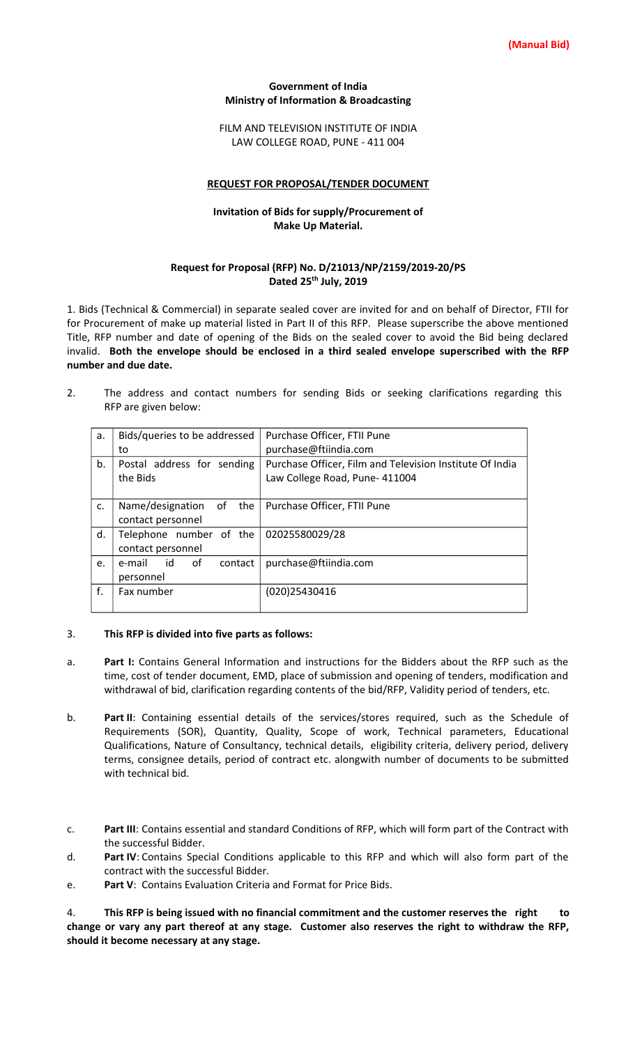#### **Government of India Ministry of Information & Broadcasting**

FILM AND TELEVISION INSTITUTE OF INDIA LAW COLLEGE ROAD, PUNE - 411 004

#### **REQUEST FOR PROPOSAL/TENDER DOCUMENT**

## **Invitation of Bids for supply/Procurement of Make Up Material.**

### **Request for Proposal (RFP) No. D/21013/NP/2159/2019-20/PS Dated 25th July, 2019**

1. Bids (Technical & Commercial) in separate sealed cover are invited for and on behalf of Director, FTII for for Procurement of make up material listed in Part II of this RFP. Please superscribe the above mentioned Title, RFP number and date of opening of the Bids on the sealed cover to avoid the Bid being declared invalid. **Both the envelope should be enclosed in a third sealed envelope superscribed with the RFP number and due date.**

2. The address and contact numbers for sending Bids or seeking clarifications regarding this RFP are given below:

| a. | Bids/queries to be addressed | Purchase Officer, FTII Pune                              |  |  |
|----|------------------------------|----------------------------------------------------------|--|--|
|    | to                           | purchase@ftiindia.com                                    |  |  |
| b. | Postal address for sending   | Purchase Officer, Film and Television Institute Of India |  |  |
|    | the Bids                     | Law College Road, Pune- 411004                           |  |  |
|    |                              |                                                          |  |  |
| c. | Name/designation of the      | Purchase Officer, FTII Pune                              |  |  |
|    | contact personnel            |                                                          |  |  |
| d. | Telephone number of the      | 02025580029/28                                           |  |  |
|    | contact personnel            |                                                          |  |  |
| e. | 0f<br>e-mail id<br>contact   | purchase@ftiindia.com                                    |  |  |
|    | personnel                    |                                                          |  |  |
| f. | Fax number                   | (020)25430416                                            |  |  |
|    |                              |                                                          |  |  |

#### 3. **This RFP is divided into five parts as follows:**

- a. **Part I:** Contains General Information and instructions for the Bidders about the RFP such as the time, cost of tender document, EMD, place of submission and opening of tenders, modification and withdrawal of bid, clarification regarding contents of the bid/RFP, Validity period of tenders, etc.
- b. **Part II**: Containing essential details of the services/stores required, such as the Schedule of Requirements (SOR), Quantity, Quality, Scope of work, Technical parameters, Educational Qualifications, Nature of Consultancy, technical details, eligibility criteria, delivery period, delivery terms, consignee details, period of contract etc. alongwith number of documents to be submitted with technical bid.
- c. **Part III**: Contains essential and standard Conditions of RFP, which will form part of the Contract with the successful Bidder.
- d. **Part IV**: Contains Special Conditions applicable to this RFP and which will also form part of the contract with the successful Bidder.
- e. **Part V**: Contains Evaluation Criteria and Format for Price Bids.

4. **This RFP is being issued with no financial commitment and the customer reserves the right to change or vary any part thereof at any stage. Customer also reserves the right to withdraw the RFP, should it become necessary at any stage.**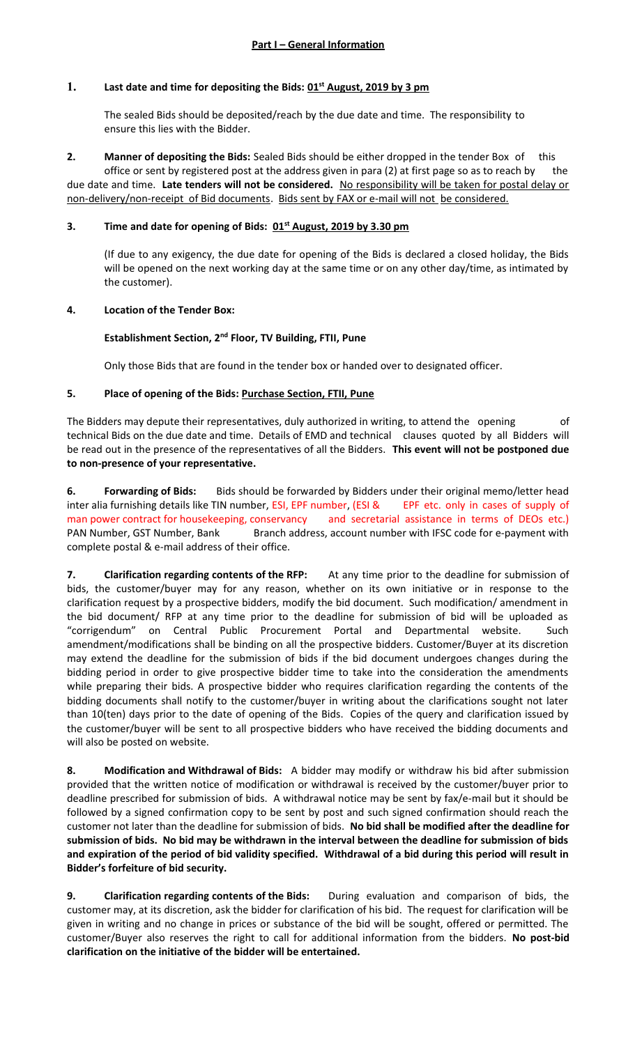# **1. Last date and time for depositing the Bids: 01st August, 2019 by 3 pm**

The sealed Bids should be deposited/reach by the due date and time. The responsibility to ensure this lies with the Bidder.

**2. Manner of depositing the Bids:** Sealed Bids should be either dropped in the tender Box of office or sent by registered post at the address given in para (2) at first page so as to reach by the due date and time. **Late tenders will not be considered.** No responsibility will be taken for postal delay or non-delivery/non-receipt of Bid documents. Bids sent by FAX or e-mail will not be considered.

## **3. Time and date for opening of Bids: 01st August, 2019 by 3.30 pm**

(If due to any exigency, the due date for opening of the Bids is declared a closed holiday, the Bids will be opened on the next working day at the same time or on any other day/time, as intimated by the customer).

## **4. Location of the Tender Box:**

## **Establishment Section, 2nd Floor, TV Building, FTII, Pune**

Only those Bids that are found in the tender box or handed over to designated officer.

## **5. Place of opening of the Bids: Purchase Section, FTII, Pune**

The Bidders may depute their representatives, duly authorized in writing, to attend the opening of technical Bids on the due date and time. Details of EMD and technical clauses quoted by all Bidders will be read out in the presence of the representatives of all the Bidders. **This event will not be postponed due to non-presence of your representative.**

**6. Forwarding of Bids:** Bids should be forwarded by Bidders under their original memo/letter head inter alia furnishing details like TIN number, ESI, EPF number, (ESI & EPF etc. only in cases of supply of man power contract for housekeeping, conservancy and secretarial assistance in terms of DEOs etc.) PAN Number, GST Number, Bank Branch address, account number with IFSC code for e-payment with complete postal & e-mail address of their office.

**7. Clarification regarding contents of the RFP:** At any time prior to the deadline for submission of bids, the customer/buyer may for any reason, whether on its own initiative or in response to the clarification request by a prospective bidders, modify the bid document. Such modification/ amendment in the bid document/ RFP at any time prior to the deadline for submission of bid will be uploaded as "corrigendum" on Central Public Procurement Portal and Departmental website. Such amendment/modifications shall be binding on all the prospective bidders. Customer/Buyer at its discretion may extend the deadline for the submission of bids if the bid document undergoes changes during the bidding period in order to give prospective bidder time to take into the consideration the amendments while preparing their bids. A prospective bidder who requires clarification regarding the contents of the bidding documents shall notify to the customer/buyer in writing about the clarifications sought not later than 10(ten) days prior to the date of opening of the Bids. Copies of the query and clarification issued by the customer/buyer will be sent to all prospective bidders who have received the bidding documents and will also be posted on website.

**8. Modification and Withdrawal of Bids:** A bidder may modify or withdraw his bid after submission provided that the written notice of modification or withdrawal is received by the customer/buyer prior to deadline prescribed for submission of bids. A withdrawal notice may be sent by fax/e-mail but it should be followed by a signed confirmation copy to be sent by post and such signed confirmation should reach the customer not later than the deadline for submission of bids. **No bid shall be modified after the deadline for submission of bids. No bid may be withdrawn in the interval between the deadline for submission of bids and expiration of the period of bid validity specified. Withdrawal of a bid during this period will result in Bidder's forfeiture of bid security.**

**9. Clarification regarding contents of the Bids:** During evaluation and comparison of bids, the customer may, at its discretion, ask the bidder for clarification of his bid. The request for clarification will be given in writing and no change in prices or substance of the bid will be sought, offered or permitted. The customer/Buyer also reserves the right to call for additional information from the bidders. **No post-bid clarification on the initiative of the bidder will be entertained.**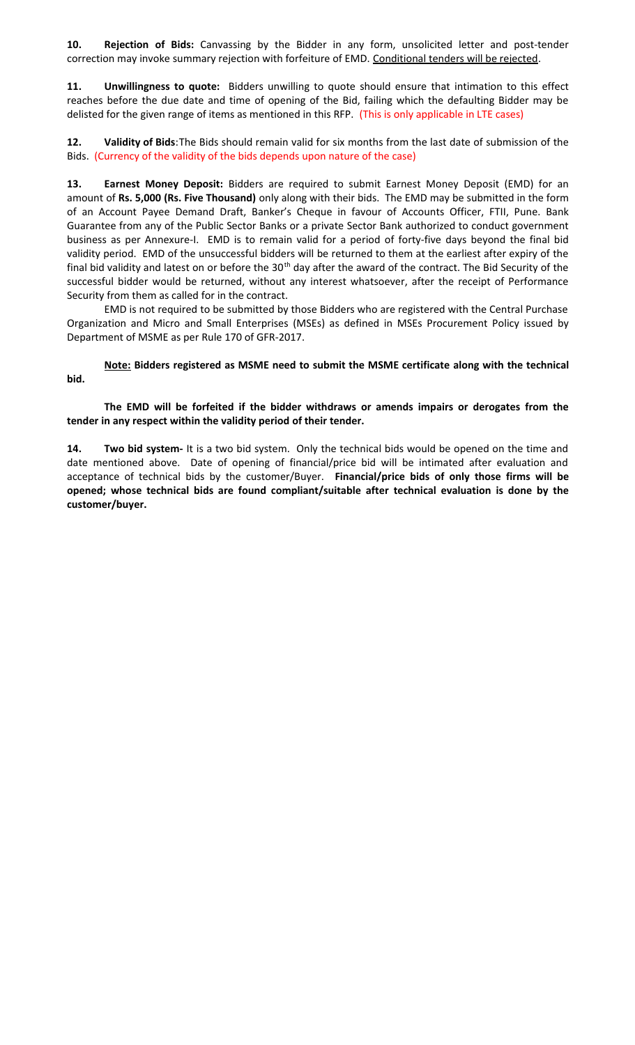**10. Rejection of Bids:** Canvassing by the Bidder in any form, unsolicited letter and post-tender correction may invoke summary rejection with forfeiture of EMD. Conditional tenders will be rejected.

**11. Unwillingness to quote:** Bidders unwilling to quote should ensure that intimation to this effect reaches before the due date and time of opening of the Bid, failing which the defaulting Bidder may be delisted for the given range of items as mentioned in this RFP. (This is only applicable in LTE cases)

**12. Validity of Bids**:The Bids should remain valid for six months from the last date of submission of the Bids. (Currency of the validity of the bids depends upon nature of the case)

**13. Earnest Money Deposit:** Bidders are required to submit Earnest Money Deposit (EMD) for an amount of **Rs. 5,000 (Rs. Five Thousand)** only along with their bids. The EMD may be submitted in the form of an Account Payee Demand Draft, Banker's Cheque in favour of Accounts Officer, FTII, Pune. Bank Guarantee from any of the Public Sector Banks or a private Sector Bank authorized to conduct government business as per Annexure-I. EMD is to remain valid for a period of forty-five days beyond the final bid validity period. EMD of the unsuccessful bidders will be returned to them at the earliest after expiry of the final bid validity and latest on or before the 30<sup>th</sup> day after the award of the contract. The Bid Security of the successful bidder would be returned, without any interest whatsoever, after the receipt of Performance Security from them as called for in the contract.

EMD is not required to be submitted by those Bidders who are registered with the Central Purchase Organization and Micro and Small Enterprises (MSEs) as defined in MSEs Procurement Policy issued by Department of MSME as per Rule 170 of GFR-2017.

**Note: Bidders registered as MSME need to submit the MSME certificate along with the technical bid.**

**The EMD will be forfeited if the bidder withdraws or amends impairs or derogates from the tender in any respect within the validity period of their tender.**

**14. Two bid system-** It is a two bid system. Only the technical bids would be opened on the time and date mentioned above. Date of opening of financial/price bid will be intimated after evaluation and acceptance of technical bids by the customer/Buyer. **Financial/price bids of only those firms will be opened; whose technical bids are found compliant/suitable after technical evaluation is done by the customer/buyer.**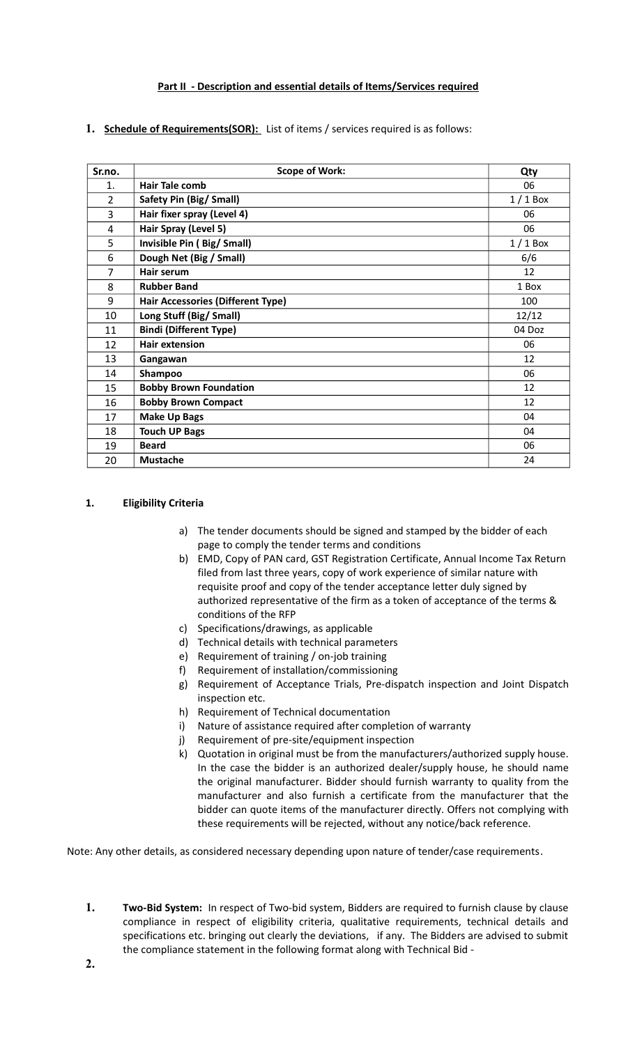# **Part II - Description and essential details of Items/Services required**

**1. Schedule of Requirements(SOR):** List of items / services required is as follows:

| Sr.no.         | <b>Scope of Work:</b>                    | Qty       |
|----------------|------------------------------------------|-----------|
| 1.             | <b>Hair Tale comb</b>                    | 06        |
| $\overline{2}$ | Safety Pin (Big/ Small)                  | $1/1$ Box |
| 3              | Hair fixer spray (Level 4)               | 06        |
| 4              | Hair Spray (Level 5)                     | 06        |
| 5              | Invisible Pin (Big/Small)                | $1/1$ Box |
| 6              | Dough Net (Big / Small)                  | 6/6       |
| 7              | Hair serum                               | 12        |
| 8              | <b>Rubber Band</b>                       | 1 Box     |
| 9              | <b>Hair Accessories (Different Type)</b> | 100       |
| 10             | Long Stuff (Big/ Small)                  | 12/12     |
| 11             | <b>Bindi (Different Type)</b>            | 04 Doz    |
| 12             | <b>Hair extension</b>                    | 06        |
| 13             | Gangawan                                 | 12        |
| 14             | Shampoo                                  | 06        |
| 15             | <b>Bobby Brown Foundation</b>            | 12        |
| 16             | <b>Bobby Brown Compact</b>               | 12        |
| 17             | <b>Make Up Bags</b>                      | 04        |
| 18             | <b>Touch UP Bags</b>                     | 04        |
| 19             | <b>Beard</b>                             | 06        |
| 20             | <b>Mustache</b>                          | 24        |

#### **1. Eligibility Criteria**

- a) The tender documents should be signed and stamped by the bidder of each page to comply the tender terms and conditions
- b) EMD, Copy of PAN card, GST Registration Certificate, Annual Income Tax Return filed from last three years, copy of work experience of similar nature with requisite proof and copy of the tender acceptance letter duly signed by authorized representative of the firm as a token of acceptance of the terms & conditions of the RFP
- c) Specifications/drawings, as applicable
- d) Technical details with technical parameters
- e) Requirement of training / on-job training
- f) Requirement of installation/commissioning
- g) Requirement of Acceptance Trials, Pre-dispatch inspection and Joint Dispatch inspection etc.
- h) Requirement of Technical documentation
- i) Nature of assistance required after completion of warranty
- j) Requirement of pre-site/equipment inspection
- k) Quotation in original must be from the manufacturers/authorized supply house. In the case the bidder is an authorized dealer/supply house, he should name the original manufacturer. Bidder should furnish warranty to quality from the manufacturer and also furnish a certificate from the manufacturer that the bidder can quote items of the manufacturer directly. Offers not complying with these requirements will be rejected, without any notice/back reference.

Note: Any other details, as considered necessary depending upon nature of tender/case requirements.

**1. Two-Bid System:** In respect of Two-bid system, Bidders are required to furnish clause by clause compliance in respect of eligibility criteria, qualitative requirements, technical details and specifications etc. bringing out clearly the deviations, if any. The Bidders are advised to submit the compliance statement in the following format along with Technical Bid -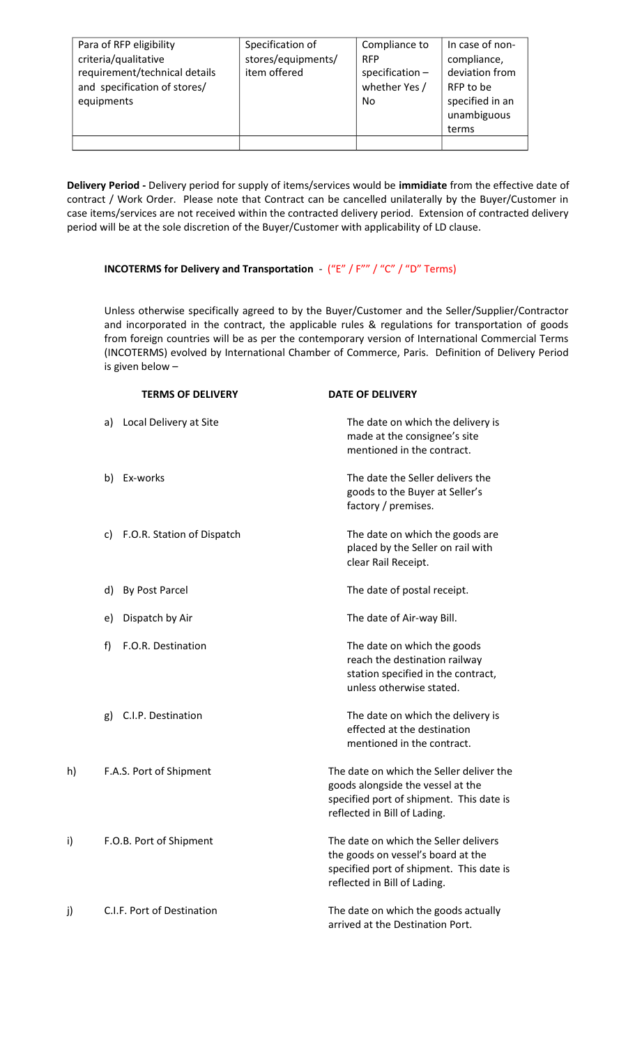| Para of RFP eligibility       | Specification of   | Compliance to  | In case of non- |
|-------------------------------|--------------------|----------------|-----------------|
| criteria/qualitative          | stores/equipments/ | <b>RFP</b>     | compliance,     |
| requirement/technical details | item offered       | specification- | deviation from  |
| and specification of stores/  |                    | whether Yes /  | RFP to be       |
| equipments                    |                    | No             | specified in an |
|                               |                    |                | unambiguous     |
|                               |                    |                | terms           |
|                               |                    |                |                 |

**Delivery Period -** Delivery period for supply of items/services would be **immidiate** from the effective date of contract / Work Order. Please note that Contract can be cancelled unilaterally by the Buyer/Customer in case items/services are not received within the contracted delivery period. Extension of contracted delivery period will be at the sole discretion of the Buyer/Customer with applicability of LD clause.

# **INCOTERMS for Delivery and Transportation** - ("E" / F"" / "C" / "D" Terms)

Unless otherwise specifically agreed to by the Buyer/Customer and the Seller/Supplier/Contractor and incorporated in the contract, the applicable rules & regulations for transportation of goods from foreign countries will be as per the contemporary version of International Commercial Terms (INCOTERMS) evolved by International Chamber of Commerce, Paris. Definition of Delivery Period is given below –

|    | <b>TERMS OF DELIVERY</b>         | <b>DATE OF DELIVERY</b>                                                                                                                                   |
|----|----------------------------------|-----------------------------------------------------------------------------------------------------------------------------------------------------------|
|    | a) Local Delivery at Site        | The date on which the delivery is<br>made at the consignee's site<br>mentioned in the contract.                                                           |
|    | b) Ex-works                      | The date the Seller delivers the<br>goods to the Buyer at Seller's<br>factory / premises.                                                                 |
|    | F.O.R. Station of Dispatch<br>c) | The date on which the goods are<br>placed by the Seller on rail with<br>clear Rail Receipt.                                                               |
|    | By Post Parcel<br>d)             | The date of postal receipt.                                                                                                                               |
|    | Dispatch by Air<br>e)            | The date of Air-way Bill.                                                                                                                                 |
|    | f)<br>F.O.R. Destination         | The date on which the goods<br>reach the destination railway<br>station specified in the contract,<br>unless otherwise stated.                            |
|    | C.I.P. Destination<br>g)         | The date on which the delivery is<br>effected at the destination<br>mentioned in the contract.                                                            |
| h) | F.A.S. Port of Shipment          | The date on which the Seller deliver the<br>goods alongside the vessel at the<br>specified port of shipment. This date is<br>reflected in Bill of Lading. |
| i) | F.O.B. Port of Shipment          | The date on which the Seller delivers<br>the goods on vessel's board at the<br>specified port of shipment. This date is<br>reflected in Bill of Lading.   |
| j) | C.I.F. Port of Destination       | The date on which the goods actually<br>arrived at the Destination Port.                                                                                  |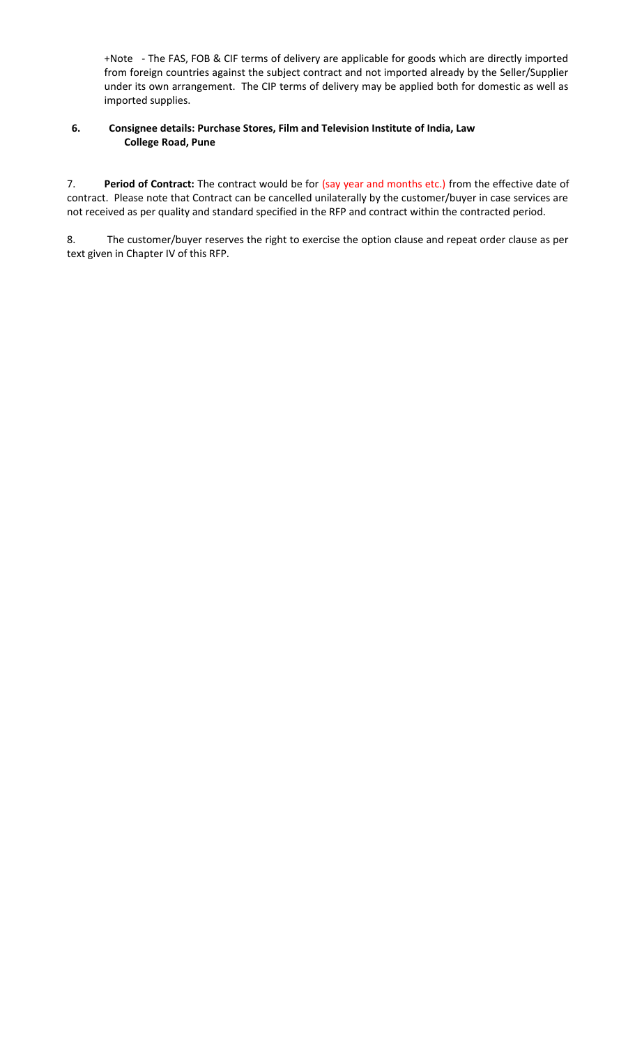+Note - The FAS, FOB & CIF terms of delivery are applicable for goods which are directly imported from foreign countries against the subject contract and not imported already by the Seller/Supplier under its own arrangement. The CIP terms of delivery may be applied both for domestic as well as imported supplies.

# **6. Consignee details: Purchase Stores, Film and Television Institute of India, Law College Road, Pune**

7. **Period of Contract:** The contract would be for (say year and months etc.) from the effective date of contract. Please note that Contract can be cancelled unilaterally by the customer/buyer in case services are not received as per quality and standard specified in the RFP and contract within the contracted period.

8. The customer/buyer reserves the right to exercise the option clause and repeat order clause as per text given in Chapter IV of this RFP.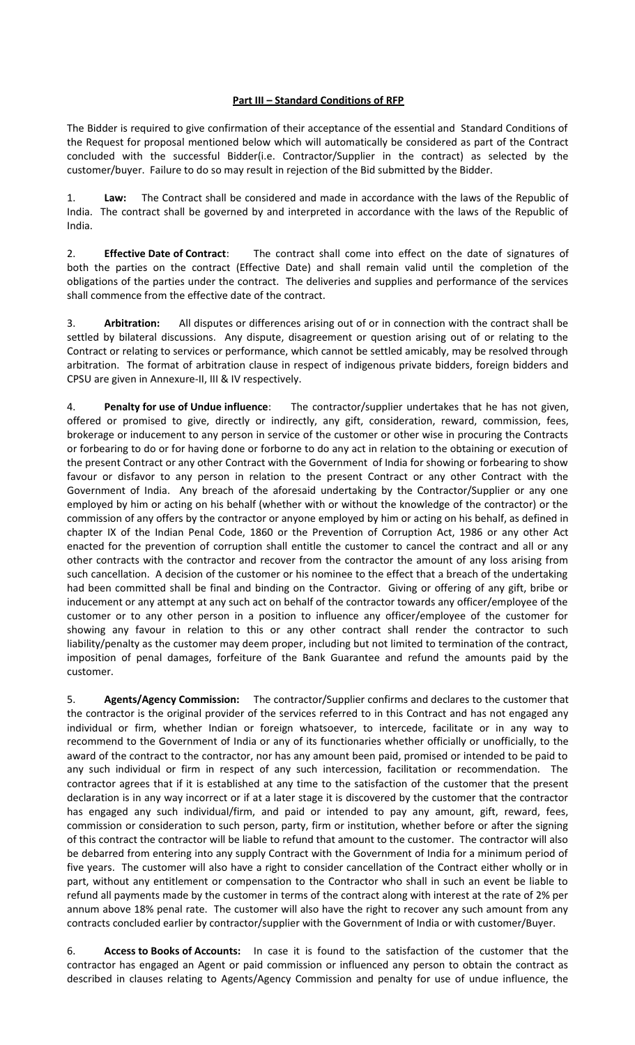# **Part III – Standard Conditions of RFP**

The Bidder is required to give confirmation of their acceptance of the essential and Standard Conditions of the Request for proposal mentioned below which will automatically be considered as part of the Contract concluded with the successful Bidder(i.e. Contractor/Supplier in the contract) as selected by the customer/buyer. Failure to do so may result in rejection of the Bid submitted by the Bidder.

1. **Law:** The Contract shall be considered and made in accordance with the laws of the Republic of India. The contract shall be governed by and interpreted in accordance with the laws of the Republic of India.

2. **Effective Date of Contract**: The contract shall come into effect on the date of signatures of both the parties on the contract (Effective Date) and shall remain valid until the completion of the obligations of the parties under the contract. The deliveries and supplies and performance of the services shall commence from the effective date of the contract.

3. **Arbitration:** All disputes or differences arising out of or in connection with the contract shall be settled by bilateral discussions. Any dispute, disagreement or question arising out of or relating to the Contract or relating to services or performance, which cannot be settled amicably, may be resolved through arbitration. The format of arbitration clause in respect of indigenous private bidders, foreign bidders and CPSU are given in Annexure-II, III & IV respectively.

4. **Penalty for use of Undue influence**: The contractor/supplier undertakes that he has not given, offered or promised to give, directly or indirectly, any gift, consideration, reward, commission, fees, brokerage or inducement to any person in service of the customer or other wise in procuring the Contracts or forbearing to do or for having done or forborne to do any act in relation to the obtaining or execution of the present Contract or any other Contract with the Government of India for showing or forbearing to show favour or disfavor to any person in relation to the present Contract or any other Contract with the Government of India. Any breach of the aforesaid undertaking by the Contractor/Supplier or any one employed by him or acting on his behalf (whether with or without the knowledge of the contractor) or the commission of any offers by the contractor or anyone employed by him or acting on his behalf, as defined in chapter IX of the Indian Penal Code, 1860 or the Prevention of Corruption Act, 1986 or any other Act enacted for the prevention of corruption shall entitle the customer to cancel the contract and all or any other contracts with the contractor and recover from the contractor the amount of any loss arising from such cancellation. A decision of the customer or his nominee to the effect that a breach of the undertaking had been committed shall be final and binding on the Contractor. Giving or offering of any gift, bribe or inducement or any attempt at any such act on behalf of the contractor towards any officer/employee of the customer or to any other person in a position to influence any officer/employee of the customer for showing any favour in relation to this or any other contract shall render the contractor to such liability/penalty as the customer may deem proper, including but not limited to termination of the contract, imposition of penal damages, forfeiture of the Bank Guarantee and refund the amounts paid by the customer.

5. **Agents/Agency Commission:** The contractor/Supplier confirms and declares to the customer that the contractor is the original provider of the services referred to in this Contract and has not engaged any individual or firm, whether Indian or foreign whatsoever, to intercede, facilitate or in any way to recommend to the Government of India or any of its functionaries whether officially or unofficially, to the award of the contract to the contractor, nor has any amount been paid, promised or intended to be paid to any such individual or firm in respect of any such intercession, facilitation or recommendation. The contractor agrees that if it is established at any time to the satisfaction of the customer that the present declaration is in any way incorrect or if at a later stage it is discovered by the customer that the contractor has engaged any such individual/firm, and paid or intended to pay any amount, gift, reward, fees, commission or consideration to such person, party, firm or institution, whether before or after the signing of this contract the contractor will be liable to refund that amount to the customer. The contractor will also be debarred from entering into any supply Contract with the Government of India for a minimum period of five years. The customer will also have a right to consider cancellation of the Contract either wholly or in part, without any entitlement or compensation to the Contractor who shall in such an event be liable to refund all payments made by the customer in terms of the contract along with interest at the rate of 2% per annum above 18% penal rate. The customer will also have the right to recover any such amount from any contracts concluded earlier by contractor/supplier with the Government of India or with customer/Buyer.

6. **Access to Books of Accounts:** In case it is found to the satisfaction of the customer that the contractor has engaged an Agent or paid commission or influenced any person to obtain the contract as described in clauses relating to Agents/Agency Commission and penalty for use of undue influence, the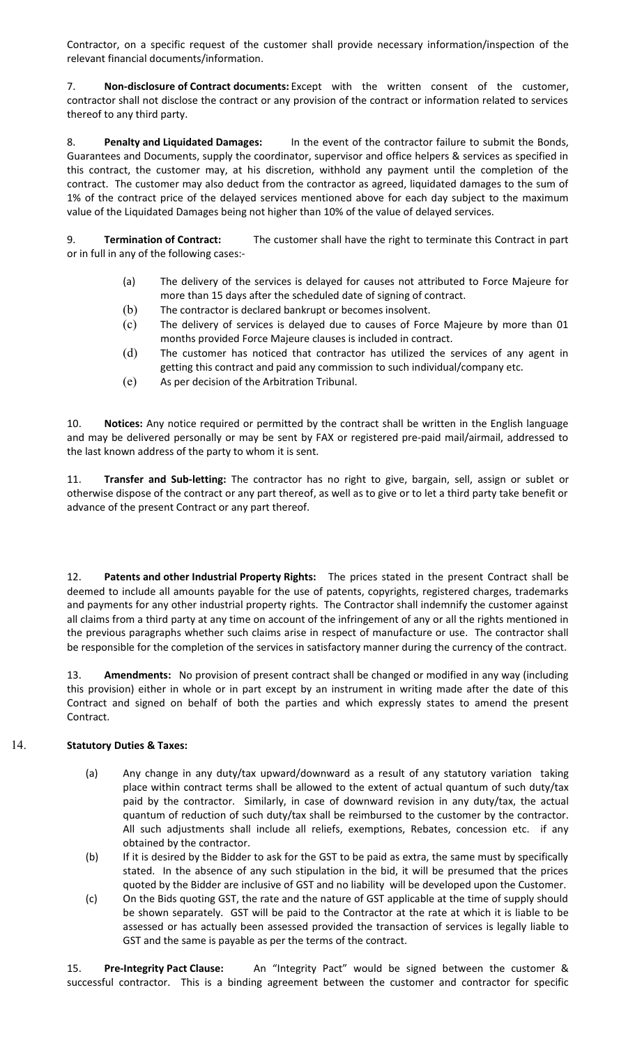Contractor, on a specific request of the customer shall provide necessary information/inspection of the relevant financial documents/information.

7. **Non-disclosure of Contract documents:** Except with the written consent of the customer, contractor shall not disclose the contract or any provision of the contract or information related to services thereof to any third party.

8. **Penalty and Liquidated Damages:** In the event of the contractor failure to submit the Bonds, Guarantees and Documents, supply the coordinator, supervisor and office helpers & services as specified in this contract, the customer may, at his discretion, withhold any payment until the completion of the contract. The customer may also deduct from the contractor as agreed, liquidated damages to the sum of 1% of the contract price of the delayed services mentioned above for each day subject to the maximum value of the Liquidated Damages being not higher than 10% of the value of delayed services.

9. **Termination of Contract:** The customer shall have the right to terminate this Contract in part or in full in any of the following cases:-

- (a) The delivery of the services is delayed for causes not attributed to Force Majeure for more than 15 days after the scheduled date of signing of contract.
- (b) The contractor is declared bankrupt or becomes insolvent.
- (c) The delivery of services is delayed due to causes of Force Majeure by more than 01 months provided Force Majeure clauses is included in contract.
- (d) The customer has noticed that contractor has utilized the services of any agent in getting this contract and paid any commission to such individual/company etc.
- (e) As per decision of the Arbitration Tribunal.

10. **Notices:** Any notice required or permitted by the contract shall be written in the English language and may be delivered personally or may be sent by FAX or registered pre-paid mail/airmail, addressed to the last known address of the party to whom it is sent.

11. **Transfer and Sub-letting:** The contractor has no right to give, bargain, sell, assign or sublet or otherwise dispose of the contract or any part thereof, as well as to give or to let a third party take benefit or advance of the present Contract or any part thereof.

12. **Patents and other Industrial Property Rights:** The prices stated in the present Contract shall be deemed to include all amounts payable for the use of patents, copyrights, registered charges, trademarks and payments for any other industrial property rights. The Contractor shall indemnify the customer against all claims from a third party at any time on account of the infringement of any or all the rights mentioned in the previous paragraphs whether such claims arise in respect of manufacture or use. The contractor shall be responsible for the completion of the services in satisfactory manner during the currency of the contract.

13. **Amendments:** No provision of present contract shall be changed or modified in any way (including this provision) either in whole or in part except by an instrument in writing made after the date of this Contract and signed on behalf of both the parties and which expressly states to amend the present Contract.

# 14. **Statutory Duties & Taxes:**

- (a) Any change in any duty/tax upward/downward as a result of any statutory variation taking place within contract terms shall be allowed to the extent of actual quantum of such duty/tax paid by the contractor. Similarly, in case of downward revision in any duty/tax, the actual quantum of reduction of such duty/tax shall be reimbursed to the customer by the contractor. All such adjustments shall include all reliefs, exemptions, Rebates, concession etc. if any obtained by the contractor.
- (b) If it is desired by the Bidder to ask for the GST to be paid as extra, the same must by specifically stated. In the absence of any such stipulation in the bid, it will be presumed that the prices quoted by the Bidder are inclusive of GST and no liability will be developed upon the Customer.
- (c) On the Bids quoting GST, the rate and the nature of GST applicable at the time of supply should be shown separately. GST will be paid to the Contractor at the rate at which it is liable to be assessed or has actually been assessed provided the transaction of services is legally liable to GST and the same is payable as per the terms of the contract.

15. **Pre-Integrity Pact Clause:** An "Integrity Pact" would be signed between the customer & successful contractor. This is a binding agreement between the customer and contractor for specific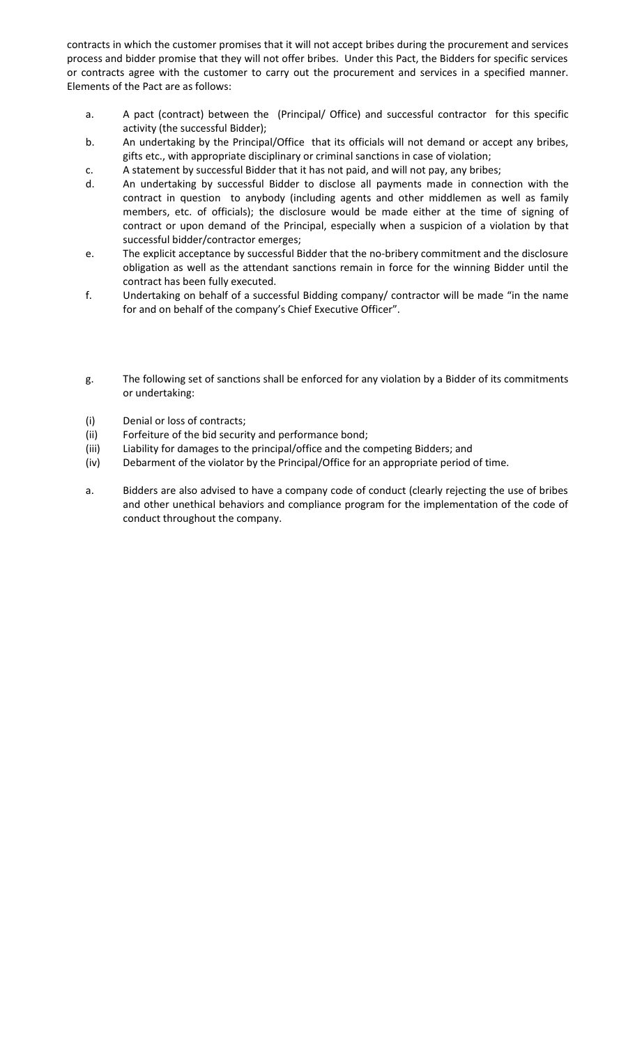contracts in which the customer promises that it will not accept bribes during the procurement and services process and bidder promise that they will not offer bribes. Under this Pact, the Bidders for specific services or contracts agree with the customer to carry out the procurement and services in a specified manner. Elements of the Pact are as follows:

- a. A pact (contract) between the (Principal/ Office) and successful contractor for this specific activity (the successful Bidder);
- b. An undertaking by the Principal/Office that its officials will not demand or accept any bribes, gifts etc., with appropriate disciplinary or criminal sanctions in case of violation;
- c. A statement by successful Bidder that it has not paid, and will not pay, any bribes;
- d. An undertaking by successful Bidder to disclose all payments made in connection with the contract in question to anybody (including agents and other middlemen as well as family members, etc. of officials); the disclosure would be made either at the time of signing of contract or upon demand of the Principal, especially when a suspicion of a violation by that successful bidder/contractor emerges;
- e. The explicit acceptance by successful Bidder that the no-bribery commitment and the disclosure obligation as well as the attendant sanctions remain in force for the winning Bidder until the contract has been fully executed.
- f. Undertaking on behalf of a successful Bidding company/ contractor will be made "in the name for and on behalf of the company's Chief Executive Officer".
- g. The following set of sanctions shall be enforced for any violation by a Bidder of its commitments or undertaking:
- (i) Denial or loss of contracts;
- (ii) Forfeiture of the bid security and performance bond;
- (iii) Liability for damages to the principal/office and the competing Bidders; and
- (iv) Debarment of the violator by the Principal/Office for an appropriate period of time.
- a. Bidders are also advised to have a company code of conduct (clearly rejecting the use of bribes and other unethical behaviors and compliance program for the implementation of the code of conduct throughout the company.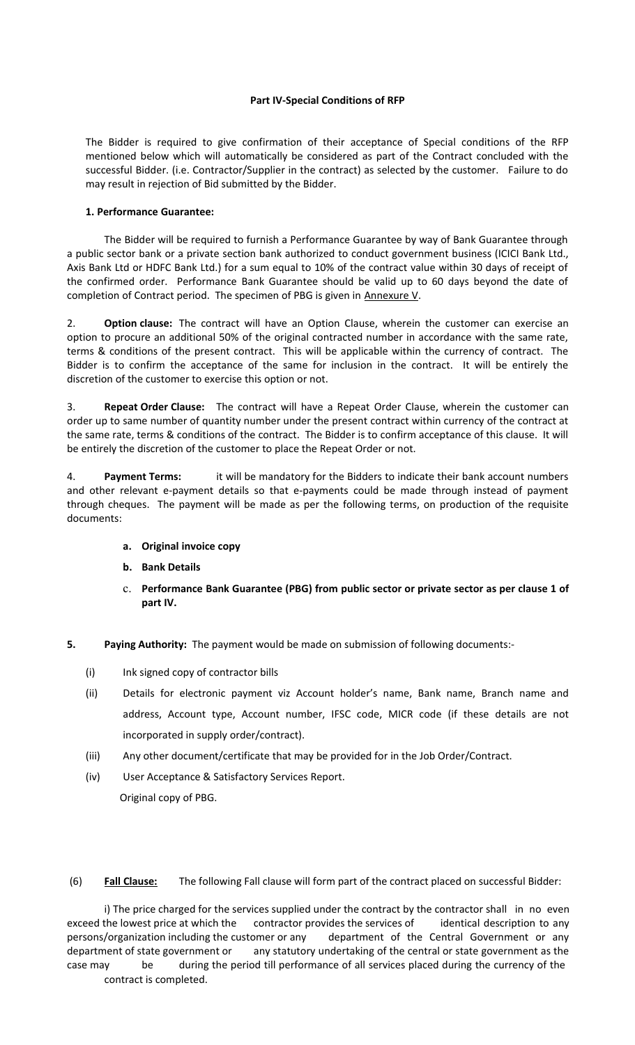### **Part IV-Special Conditions of RFP**

The Bidder is required to give confirmation of their acceptance of Special conditions of the RFP mentioned below which will automatically be considered as part of the Contract concluded with the successful Bidder. (i.e. Contractor/Supplier in the contract) as selected by the customer. Failure to do may result in rejection of Bid submitted by the Bidder.

## **1. Performance Guarantee:**

The Bidder will be required to furnish a Performance Guarantee by way of Bank Guarantee through a public sector bank or a private section bank authorized to conduct government business (ICICI Bank Ltd., Axis Bank Ltd or HDFC Bank Ltd.) for a sum equal to 10% of the contract value within 30 days of receipt of the confirmed order. Performance Bank Guarantee should be valid up to 60 days beyond the date of completion of Contract period. The specimen of PBG is given in Annexure V.

2. **Option clause:** The contract will have an Option Clause, wherein the customer can exercise an option to procure an additional 50% of the original contracted number in accordance with the same rate, terms & conditions of the present contract. This will be applicable within the currency of contract. The Bidder is to confirm the acceptance of the same for inclusion in the contract. It will be entirely the discretion of the customer to exercise this option or not.

3. **Repeat Order Clause:** The contract will have a Repeat Order Clause, wherein the customer can order up to same number of quantity number under the present contract within currency of the contract at the same rate, terms & conditions of the contract. The Bidder is to confirm acceptance of this clause. It will be entirely the discretion of the customer to place the Repeat Order or not.

4. **Payment Terms:** it will be mandatory for the Bidders to indicate their bank account numbers and other relevant e-payment details so that e-payments could be made through instead of payment through cheques. The payment will be made as per the following terms, on production of the requisite documents:

# **a. Original invoice copy**

- **b. Bank Details**
- c. **Performance Bank Guarantee (PBG) from public sector or private sector as per clause 1 of part IV.**
- **5. Paying Authority:** The payment would be made on submission of following documents:-
	- (i) Ink signed copy of contractor bills
	- (ii) Details for electronic payment viz Account holder's name, Bank name, Branch name and address, Account type, Account number, IFSC code, MICR code (if these details are not incorporated in supply order/contract).
	- (iii) Any other document/certificate that may be provided for in the Job Order/Contract.
	- (iv) User Acceptance & Satisfactory Services Report.

Original copy of PBG.

(6) **Fall Clause:** The following Fall clause will form part of the contract placed on successful Bidder:

i) The price charged for the services supplied under the contract by the contractor shall in no even exceed the lowest price at which the contractor provides the services of identical description to any persons/organization including the customer or any department of the Central Government or any department of state government or any statutory undertaking of the central or state government as the case may be during the period till performance of all services placed during the currency of the contract is completed.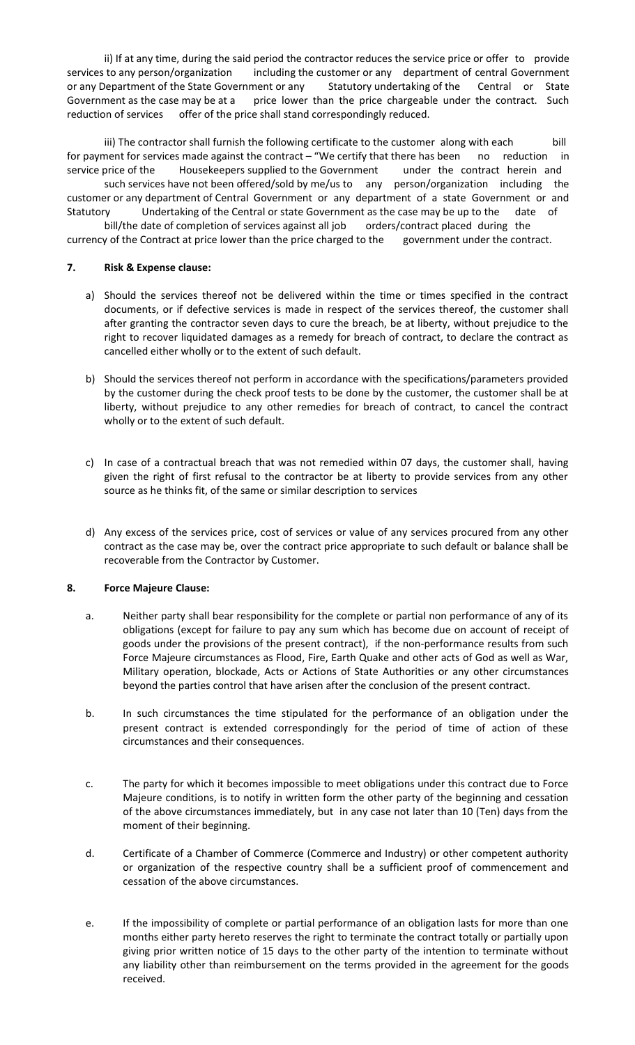ii) If at any time, during the said period the contractor reduces the service price or offer to provide services to any person/organization including the customer or any department of central Government or any Department of the State Government or any Statutory undertaking of the Central or State Government as the case may be at a price lower than the price chargeable under the contract. Such reduction of services offer of the price shall stand correspondingly reduced.

iii) The contractor shall furnish the following certificate to the customer along with each bill for payment for services made against the contract – "We certify that there has been no reduction in service price of the Housekeepers supplied to the Government under the contract herein and such services have not been offered/sold by me/us to any person/organization including the customer or any department of Central Government or any department of a state Government or and Statutory Undertaking of the Central or state Government as the case may be up to the date of

bill/the date of completion of services against all job orders/contract placed during the currency of the Contract at price lower than the price charged to the government under the contract.

## **7. Risk & Expense clause:**

- a) Should the services thereof not be delivered within the time or times specified in the contract documents, or if defective services is made in respect of the services thereof, the customer shall after granting the contractor seven days to cure the breach, be at liberty, without prejudice to the right to recover liquidated damages as a remedy for breach of contract, to declare the contract as cancelled either wholly or to the extent of such default.
- b) Should the services thereof not perform in accordance with the specifications/parameters provided by the customer during the check proof tests to be done by the customer, the customer shall be at liberty, without prejudice to any other remedies for breach of contract, to cancel the contract wholly or to the extent of such default.
- c) In case of a contractual breach that was not remedied within 07 days, the customer shall, having given the right of first refusal to the contractor be at liberty to provide services from any other source as he thinks fit, of the same or similar description to services
- d) Any excess of the services price, cost of services or value of any services procured from any other contract as the case may be, over the contract price appropriate to such default or balance shall be recoverable from the Contractor by Customer.

# **8. Force Majeure Clause:**

- a. Neither party shall bear responsibility for the complete or partial non performance of any of its obligations (except for failure to pay any sum which has become due on account of receipt of goods under the provisions of the present contract), if the non-performance results from such Force Majeure circumstances as Flood, Fire, Earth Quake and other acts of God as well as War, Military operation, blockade, Acts or Actions of State Authorities or any other circumstances beyond the parties control that have arisen after the conclusion of the present contract.
- b. In such circumstances the time stipulated for the performance of an obligation under the present contract is extended correspondingly for the period of time of action of these circumstances and their consequences.
- c. The party for which it becomes impossible to meet obligations under this contract due to Force Majeure conditions, is to notify in written form the other party of the beginning and cessation of the above circumstances immediately, but in any case not later than 10 (Ten) days from the moment of their beginning.
- d. Certificate of a Chamber of Commerce (Commerce and Industry) or other competent authority or organization of the respective country shall be a sufficient proof of commencement and cessation of the above circumstances.
- e. If the impossibility of complete or partial performance of an obligation lasts for more than one months either party hereto reserves the right to terminate the contract totally or partially upon giving prior written notice of 15 days to the other party of the intention to terminate without any liability other than reimbursement on the terms provided in the agreement for the goods received.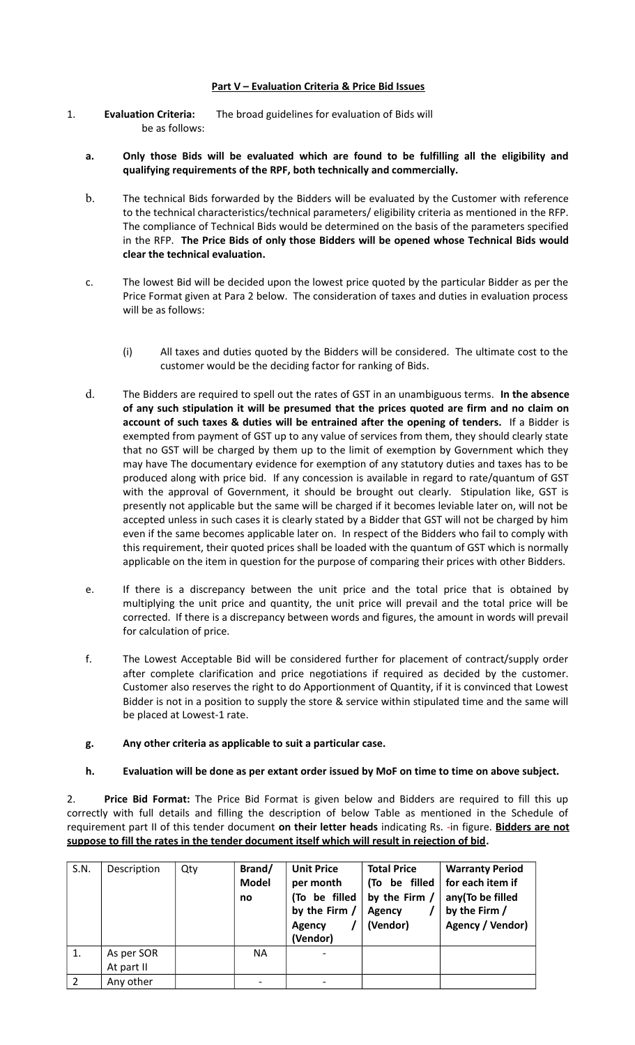## **Part V – Evaluation Criteria & Price Bid Issues**

- 1. **Evaluation Criteria:** The broad guidelines for evaluation of Bids will be as follows:
	- **a. Only those Bids will be evaluated which are found to be fulfilling all the eligibility and qualifying requirements of the RPF, both technically and commercially.**
	- b. The technical Bids forwarded by the Bidders will be evaluated by the Customer with reference to the technical characteristics/technical parameters/ eligibility criteria as mentioned in the RFP. The compliance of Technical Bids would be determined on the basis of the parameters specified in the RFP. **The Price Bids of only those Bidders will be opened whose Technical Bids would clear the technical evaluation.**
	- c. The lowest Bid will be decided upon the lowest price quoted by the particular Bidder as per the Price Format given at Para 2 below. The consideration of taxes and duties in evaluation process will be as follows:
		- (i) All taxes and duties quoted by the Bidders will be considered. The ultimate cost to the customer would be the deciding factor for ranking of Bids.
	- d. The Bidders are required to spell out the rates of GST in an unambiguous terms. **In the absence of any such stipulation it will be presumed that the prices quoted are firm and no claim on account of such taxes & duties will be entrained after the opening of tenders.** If a Bidder is exempted from payment of GST up to any value of services from them, they should clearly state that no GST will be charged by them up to the limit of exemption by Government which they may have The documentary evidence for exemption of any statutory duties and taxes has to be produced along with price bid. If any concession is available in regard to rate/quantum of GST with the approval of Government, it should be brought out clearly. Stipulation like, GST is presently not applicable but the same will be charged if it becomes leviable later on, will not be accepted unless in such cases it is clearly stated by a Bidder that GST will not be charged by him even if the same becomes applicable later on. In respect of the Bidders who fail to comply with this requirement, their quoted prices shall be loaded with the quantum of GST which is normally applicable on the item in question for the purpose of comparing their prices with other Bidders.
	- e. If there is a discrepancy between the unit price and the total price that is obtained by multiplying the unit price and quantity, the unit price will prevail and the total price will be corrected. If there is a discrepancy between words and figures, the amount in words will prevail for calculation of price.
	- f. The Lowest Acceptable Bid will be considered further for placement of contract/supply order after complete clarification and price negotiations if required as decided by the customer. Customer also reserves the right to do Apportionment of Quantity, if it is convinced that Lowest Bidder is not in a position to supply the store & service within stipulated time and the same will be placed at Lowest-1 rate.
	- **g. Any other criteria as applicable to suit a particular case.**
	- **h. Evaluation will be done as per extant order issued by MoF on time to time on above subject.**

2. **Price Bid Format:** The Price Bid Format is given below and Bidders are required to fill this up correctly with full details and filling the description of below Table as mentioned in the Schedule of requirement part II of this tender document **on their letter heads** indicating Rs. -in figure. **Bidders are not suppose to fill the rates in the tender document itself which will result in rejection of bid.**

| S.N.          | Description              | Qty | Brand/<br><b>Model</b><br>no | <b>Unit Price</b><br>per month<br>(To be filled<br>by the Firm /<br>Agency<br>(Vendor) | <b>Total Price</b><br>(To be filled<br>by the Firm $/$<br><b>Agency</b><br>(Vendor) | <b>Warranty Period</b><br>for each item if<br>any(To be filled<br>by the Firm /<br>Agency / Vendor) |
|---------------|--------------------------|-----|------------------------------|----------------------------------------------------------------------------------------|-------------------------------------------------------------------------------------|-----------------------------------------------------------------------------------------------------|
|               | As per SOR<br>At part II |     | <b>NA</b>                    |                                                                                        |                                                                                     |                                                                                                     |
|               |                          |     |                              |                                                                                        |                                                                                     |                                                                                                     |
| $\mathcal{P}$ | Any other                |     |                              |                                                                                        |                                                                                     |                                                                                                     |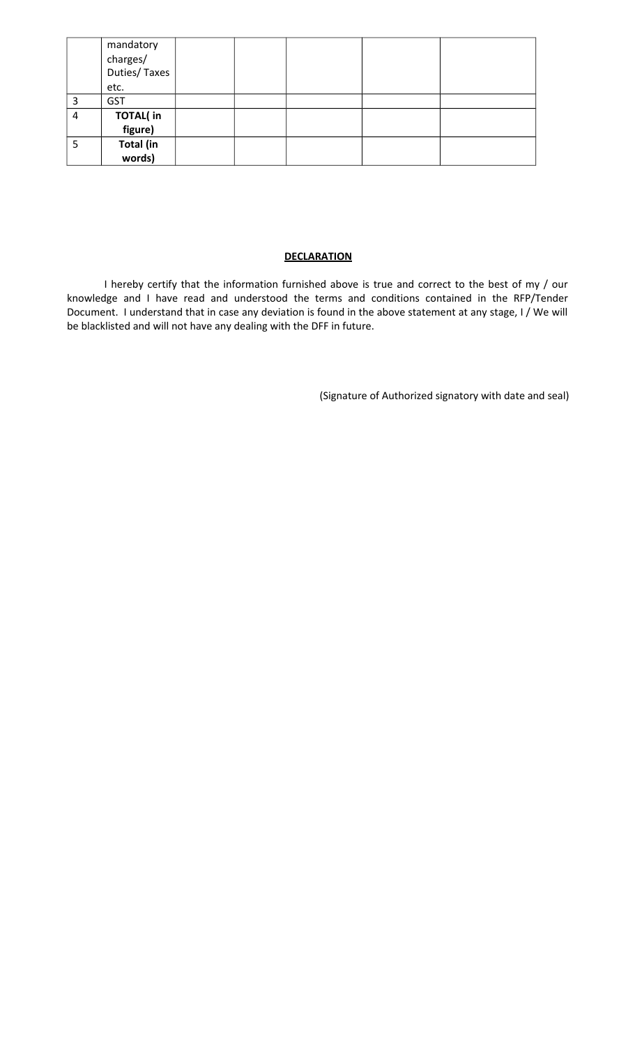|   | mandatory<br>charges/<br>Duties/Taxes<br>etc. |  |  |  |
|---|-----------------------------------------------|--|--|--|
| 3 | <b>GST</b>                                    |  |  |  |
| 4 | <b>TOTAL(in</b><br>figure)                    |  |  |  |
| 5 | Total (in<br>words)                           |  |  |  |

# **DECLARATION**

I hereby certify that the information furnished above is true and correct to the best of my / our knowledge and I have read and understood the terms and conditions contained in the RFP/Tender Document. I understand that in case any deviation is found in the above statement at any stage, I / We will be blacklisted and will not have any dealing with the DFF in future.

(Signature of Authorized signatory with date and seal)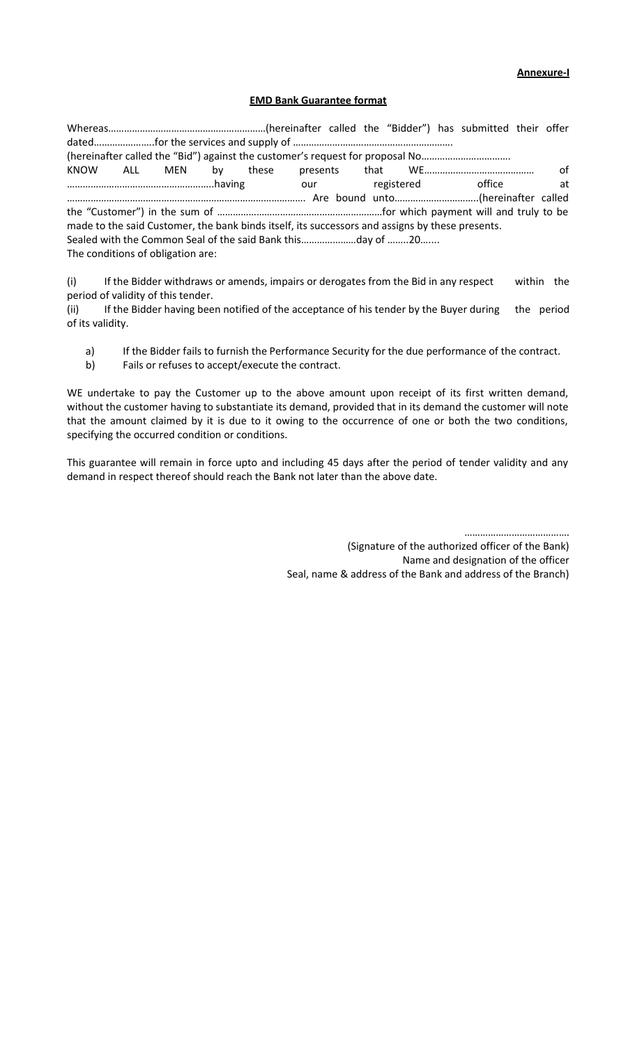**Annexure-I**

#### **EMD Bank Guarantee format**

Whereas……………………………………………………(hereinafter called the "Bidder") has submitted their offer dated……………………..for the services and supply of ………………………………………………………………………………………… (hereinafter called the "Bid") against the customer's request for proposal No……………………………. KNOW ALL MEN by these presents that WE…………………………………… of ………………………………………………..having our registered office at ………………………………………………………………………………. Are bound unto…………………………..(hereinafter called the "Customer") in the sum of ………………………………………………………for which payment will and truly to be made to the said Customer, the bank binds itself, its successors and assigns by these presents. Sealed with the Common Seal of the said Bank this…………………day of ……..20….... The conditions of obligation are:

(i) If the Bidder withdraws or amends, impairs or derogates from the Bid in any respect within the period of validity of this tender.

(ii) If the Bidder having been notified of the acceptance of his tender by the Buyer during the period of its validity.

- a) If the Bidder fails to furnish the Performance Security for the due performance of the contract.
- b) Fails or refuses to accept/execute the contract.

WE undertake to pay the Customer up to the above amount upon receipt of its first written demand, without the customer having to substantiate its demand, provided that in its demand the customer will note that the amount claimed by it is due to it owing to the occurrence of one or both the two conditions, specifying the occurred condition or conditions.

This guarantee will remain in force upto and including 45 days after the period of tender validity and any demand in respect thereof should reach the Bank not later than the above date.

………………………………….

(Signature of the authorized officer of the Bank) Name and designation of the officer Seal, name & address of the Bank and address of the Branch)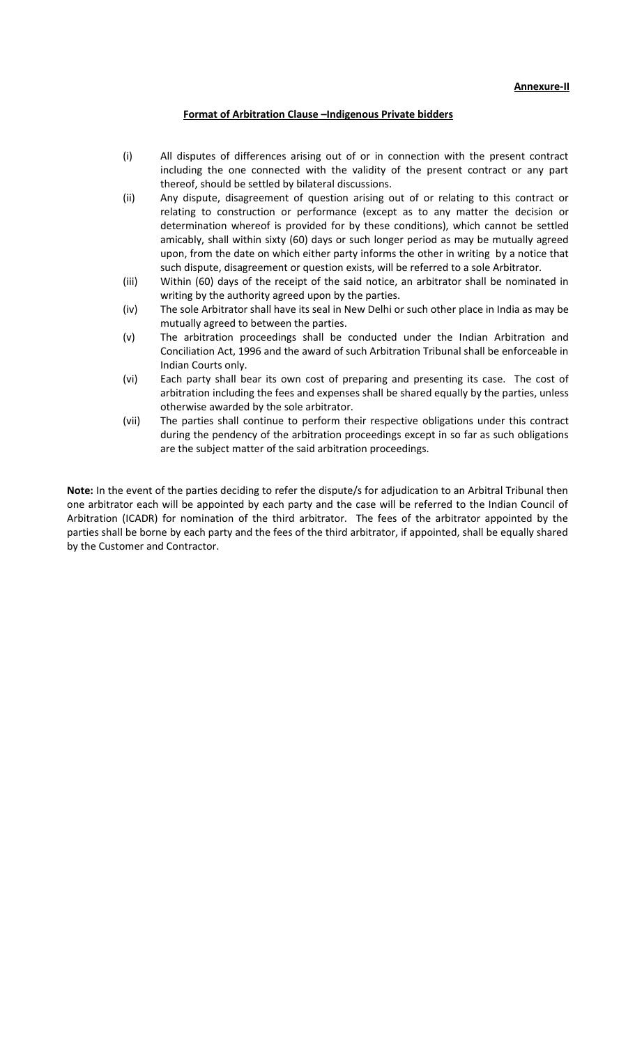#### **Format of Arbitration Clause –Indigenous Private bidders**

- (i) All disputes of differences arising out of or in connection with the present contract including the one connected with the validity of the present contract or any part thereof, should be settled by bilateral discussions.
- (ii) Any dispute, disagreement of question arising out of or relating to this contract or relating to construction or performance (except as to any matter the decision or determination whereof is provided for by these conditions), which cannot be settled amicably, shall within sixty (60) days or such longer period as may be mutually agreed upon, from the date on which either party informs the other in writing by a notice that such dispute, disagreement or question exists, will be referred to a sole Arbitrator.
- (iii) Within (60) days of the receipt of the said notice, an arbitrator shall be nominated in writing by the authority agreed upon by the parties.
- (iv) The sole Arbitrator shall have its seal in New Delhi or such other place in India as may be mutually agreed to between the parties.
- (v) The arbitration proceedings shall be conducted under the Indian Arbitration and Conciliation Act, 1996 and the award of such Arbitration Tribunal shall be enforceable in Indian Courts only.
- (vi) Each party shall bear its own cost of preparing and presenting its case. The cost of arbitration including the fees and expenses shall be shared equally by the parties, unless otherwise awarded by the sole arbitrator.
- (vii) The parties shall continue to perform their respective obligations under this contract during the pendency of the arbitration proceedings except in so far as such obligations are the subject matter of the said arbitration proceedings.

**Note:** In the event of the parties deciding to refer the dispute/s for adjudication to an Arbitral Tribunal then one arbitrator each will be appointed by each party and the case will be referred to the Indian Council of Arbitration (ICADR) for nomination of the third arbitrator. The fees of the arbitrator appointed by the parties shall be borne by each party and the fees of the third arbitrator, if appointed, shall be equally shared by the Customer and Contractor.